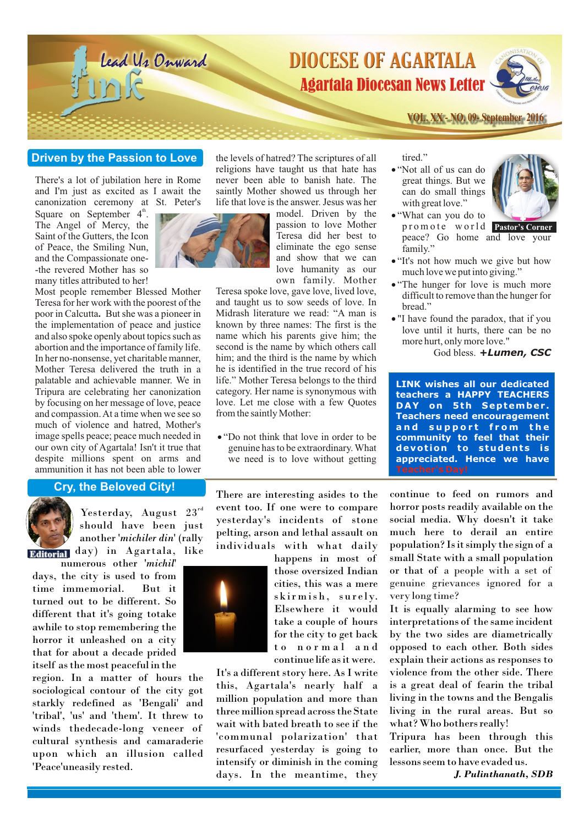

# **Driven by the Passion to Love**

There's a lot of jubilation here in Rome and I'm just as excited as I await the canonization ceremony at St. Peter's

Square on September  $4<sup>th</sup>$ . The Angel of Mercy, the Saint of the Gutters, the Icon of Peace, the Smiling Nun, and the Compassionate one- -the revered Mother has so many titles attributed to her!



Most people remember Blessed Mother Teresa for her work with the poorest of the poor in Calcutta**.** But she was a pioneer in the implementation of peace and justice and also spoke openly about topics such as abortion and the importance of family life. In her no-nonsense, yet charitable manner, Mother Teresa delivered the truth in a palatable and achievable manner. We in Tripura are celebrating her canonization by focusing on her message of love, peace and compassion. At a time when we see so much of violence and hatred, Mother's image spells peace; peace much needed in our own city of Agartala! Isn't it true that despite millions spent on arms and ammunition it has not been able to lower

#### the levels of hatred? The scriptures of all religions have taught us that hate has never been able to banish hate. The saintly Mother showed us through her life that love is the answer. Jesus was her

model. Driven by the passion to love Mother Teresa did her best to eliminate the ego sense and show that we can love humanity as our own family. Mother

Teresa spoke love, gave love, lived love, and taught us to sow seeds of love. In Midrash literature we read: "A man is known by three names: The first is the name which his parents give him; the second is the name by which others call him; and the third is the name by which he is identified in the true record of his life." Mother Teresa belongs to the third category. Her name is synonymous with love. Let me close with a few Quotes from the saintly Mother: levels of hatred? The scriptures of all<br>gions have taught us that hate has <br><sup>e</sup> who tall of us can do<br>get be beaution hat hate. The<br>great things. But we<br>that love is to be whome simple in the set of the set of the set of<br>t

"Do not think that love in order to be genuine has to be extraordinary. What

"Not all of us can do great things. But we can do small things<br>with great love."



- promote world **Pastor's Corner** "What can you do to peace? Go home and love your
- family."<br>
 "It's not how much we give but how
- much love we put into giving."<br>• "The hunger for love is much more" difficult to remove than the hunger for bread." bread."<br>• "I have found the paradox, that if you
- love until it hurts, there can be no more hurt, only more love."

God bless. *+Lumen, CSC*

From the saintly Mother:<br>
• "Do not think that love in order to be **and support from the**<br> **•** "Do not think that love in order to be **community to feel that their LINK wishes all our dedicated teachers a HAPPY TEACHERS DAY on 5th September . Teachers need encouragement a n d s u p p o r t f r o m t h e community to feel that their devot ion to students is appreciated. Hence we have**

# **Cry, the Beloved City!**



Yesterday, August  $23^{rd}$ should have been just another '*michiler din*' (rally

**Editorial** day) in Agartala, like

numerous other '*michil*' days, the city is used to from time immemorial. But it turned out to be different. So different that it's going totake awhile to stop remembering the horror it unleashed on a city that for about a decade prided itself as the most peaceful in the

region. In a matter of hours the sociological contour of the city got starkly redefined as 'Bengali' and 'tribal', 'us' and 'them'. It threw to winds thedecade-long veneer of cultural synthesis and camaraderie upon which an illusion called 'Peace'uneasily rested.

There are interesting asides to the event too. If one were to compare yesterday's incidents of stone pelting, arson and lethal assault on individuals with what daily

> happens in most of those oversized Indian cities, this was a mere skirmish, surely. Elsewhere it would take a couple of hours for the city to get back to normal and continue life as it were.

It's a different story here. As I write this, Agartala's nearly half a million population and more than three million spread across the State wait with bated breath to see if the 'communal polarization' that resurfaced yesterday is going to intensify or diminish in the coming days. In the meantime, they continue to feed on rumors and horror posts readily available on the social media. Why doesn't it take much here to derail an entire population? Is it simply the sign of a small State with a small population or that of a people with a set of genuine grievances ignored for a very long time?

It is equally alarming to see how interpretations of the same incident by the two sides are diametrically opposed to each other. Both sides explain their actions as responses to violence from the other side. There is a great deal of fearin the tribal living in the towns and the Bengalis living in the rural areas. But so what? Who bothers really!

Tripura has been through this earlier, more than once. But the lessons seem to have evaded us.

*J. Pulinthanath, SDB*

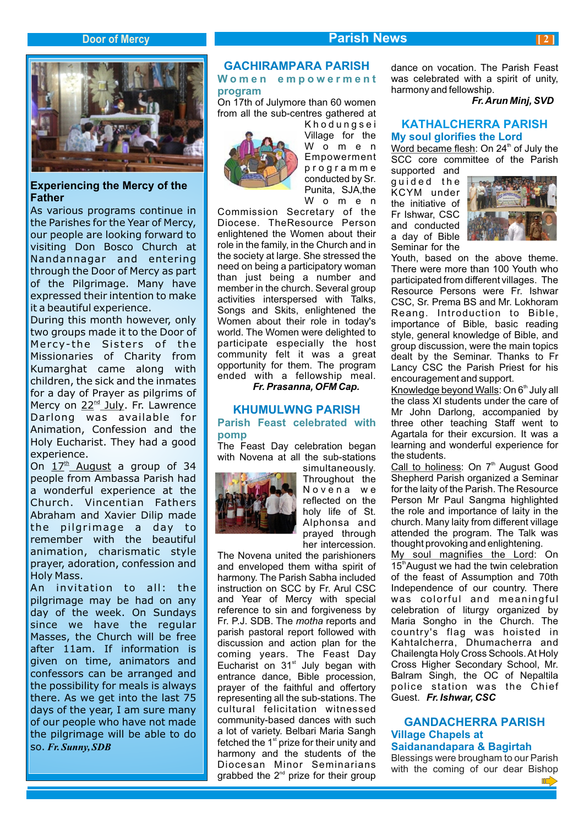# **Door** of Mercy **Parish News**



# **Experiencing the Mercy of the Father**

As various programs continue in the Parishes for the Year of Mercy, our people are looking forward to visiting Don Bosco Church at Nandannagar and entering through the Door of Mercy as part of the Pilgrimage. Many have expressed their intention to make it a beautiful experience.

During this month however, only two groups made it to the Door of Mercy- the Sisters of the Missionaries of Charity from Kumarghat came along with children, the sick and the inmates for a day of Prayer as pilgrims of Mercy on 22<sup>nd</sup> July. Fr. Lawrence Darlong was available for Animation, Confession and the Holy Eucharist. They had a good experience.

On  $17<sup>th</sup>$  August a group of 34 people from Ambassa Parish had a wonderful experience at the Church. Vincentian Fathers Abraham and Xavier Dilip made the pilgrimage a day to remember with the beautiful animation, charismatic style prayer, adoration, confession and Holy Mass.

An invitation to all: the pilgrimage may be had on any day of the week. On Sundays since we have the regular Masses, the Church will be free after 11am. If information is given on time, animators and confessors can be arranged and the possibility for meals is always there. As we get into the last 75 days of the year, I am sure many of our people who have not made the pilgrimage will be able to do so. *Fr. Sunny, SDB*

# **GACHIRAMPARA PARISH**

# **W o m e n e m p o w e r m e n t program**

On 17th of Julymore than 60 women from all the sub-centres gathered at



K h o d u n g s e i Village for the W o m e n Empowerment p r o g r a m m e conducted by Sr. Punita, SJA,the W o m e n

Commission Secretary of the Diocese. TheResource Person enlightened the Women about their role in the family, in the Church and in the society at large. She stressed the need on being a participatory woman than just being a number and member in the church. Several group activities interspersed with Talks, Songs and Skits, enlightened the Women about their role in today's world. The Women were delighted to participate especially the host community felt it was a great opportunity for them. The program ended with a fellowship meal.

*Fr. Prasanna, OFM Cap.*

#### **KHUMULWNG PARISH Parish Feast celebrated with pomp**

The Feast Day celebration began with Novena at all the sub-stations



simultaneously. Throughout the Novena we reflected on the holy life of St. Alphonsa and prayed through her intercession.

The Novena united the parishioners and enveloped them witha spirit of harmony. The Parish Sabha included instruction on SCC by Fr. Arul CSC and Year of Mercy with special reference to sin and forgiveness by Fr. P.J. SDB. The *motha* reports and parish pastoral report followed with discussion and action plan for the coming years. The Feast Day Eucharist on  $31<sup>st</sup>$  July began with entrance dance, Bible procession, prayer of the faithful and offertory representing all the sub-stations. The cultural felicitation witnessed community-based dances with such a lot of variety. Belbari Maria Sangh fetched the  $1<sup>st</sup>$  prize for their unity and harmony and the students of the Diocesan Minor Seminarians grabbed the  $2^{nd}$  prize for their group

dance on vocation. The Parish Feast was celebrated with a spirit of unity, harmony and fellowship.

 *Fr. Arun Minj, SVD*

#### **KATHALCHERRA PARISH My soul glorifies the Lord**

Word became flesh: On  $24<sup>th</sup>$  of July the SCC core committee of the Parish

supported and quided the KCYM under the initiative of Fr Ishwar, CSC and conducted a day of Bible Seminar for the



Youth, based on the above theme. There were more than 100 Youth who participated from different villages. The Resource Persons were Fr. Ishwar CSC, Sr. Prema BS and Mr. Lokhoram Reang. Introduction to Bible, importance of Bible, basic reading style, general knowledge of Bible, and group discussion, were the main topics dealt by the Seminar. Thanks to Fr Lancy CSC the Parish Priest for his encouragement and support.

Knowledge beyond Walls: On  $6<sup>th</sup>$  July all the class XI students under the care of Mr John Darlong, accompanied by three other teaching Staff went to Agartala for their excursion. It was a learning and wonderful experience for the students.

Call to holiness: On 7<sup>th</sup> August Good Shepherd Parish organized a Seminar for the laity of the Parish. The Resource Person Mr Paul Sangma highlighted the role and importance of laity in the church. Many laity from different village attended the program. The Talk was thought provoking and enlightening.

My soul magnifies the Lord: On 15<sup>th</sup> August we had the twin celebration of the feast of Assumption and 70th Independence of our country. There was colorful and meaningful celebration of liturgy organized by Maria Songho in the Church. The country's flag was hoisted in Kahtalcherra, Dhumacherra and Chailengta Holy Cross Schools. At Holy Cross Higher Secondary School, Mr. Balram Singh, the OC of Nepaltila police station was the Chief Guest. *Fr. Ishwar, CSC*

### **GANDACHERRA PARISH Village Chapels at Saidanandapara & Bagirtah**

Blessings were brougham to our Parish with the coming of our dear Bishop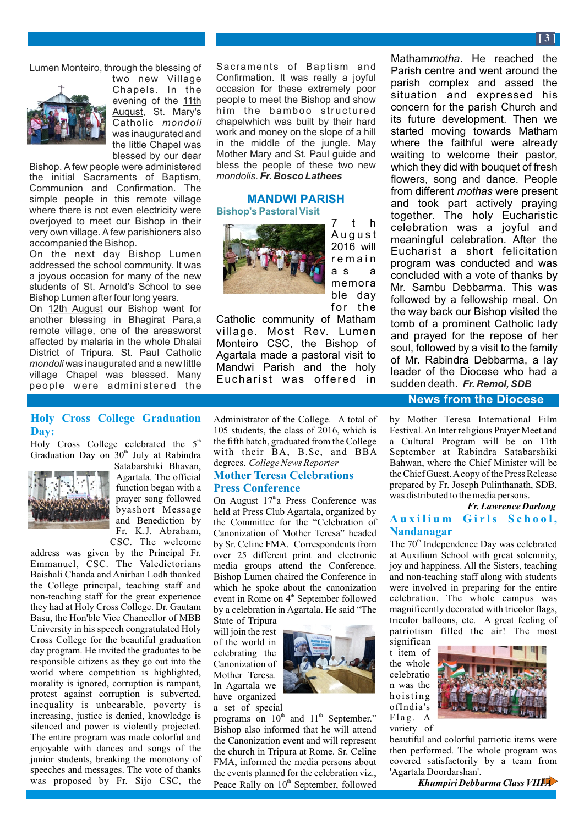Lumen Monteiro, through the blessing of



two new Village Chapels. In the evening of the 11th August, St. Mary's Catholic *mondoli* was inaugurated and the little Chapel was blessed by our dear

Bishop. A few people were administered the initial Sacraments of Baptism, Communion and Confirmation. The simple people in this remote village where there is not even electricity were overjoyed to meet our Bishop in their very own village. Afew parishioners also accompanied the Bishop.

On the next day Bishop Lumen addressed the school community. It was a joyous occasion for many of the new students of St. Arnold's School to see Bishop Lumen after four long years.

On 12th August our Bishop went for another blessing in Bhagirat Para,a remote village, one of the areasworst affected by malaria in the whole Dhalai District of Tripura. St. Paul Catholic *mondoli* was inaugurated and a new little village Chapel was blessed. Many people were administered the

# **Holy Cross College Graduation Day:**

Holy Cross College celebrated the  $5<sup>th</sup>$ Graduation Day on 30<sup>th</sup> July at Rabindra



Satabarshiki Bhavan, Agartala. The official function began with a prayer song followed byashort Message and Benediction by Fr. K.J. Abraham, CSC. The welcome

address was given by the Principal Fr. Emmanuel, CSC. The Valedictorians Baishali Chanda and Anirban Lodh thanked the College principal, teaching staff and non-teaching staff for the great experience they had at Holy Cross College. Dr. Gautam Basu, the Hon'ble Vice Chancellor of MBB University in his speech congratulated Holy Cross College for the beautiful graduation day program. He invited the graduates to be responsible citizens as they go out into the world where competition is highlighted, morality is ignored, corruption is rampant, protest against corruption is subverted, inequality is unbearable, poverty is increasing, justice is denied, knowledge is silenced and power is violently projected. The entire program was made colorful and enjoyable with dances and songs of the junior students, breaking the monotony of speeches and messages. The vote of thanks was proposed by Fr. Sijo CSC, the

Sacraments of Baptism and Confirmation. It was really a joyful occasion for these extremely poor people to meet the Bishop and show him the bamboo structured chapelwhich was built by their hard work and money on the slope of a hill in the middle of the jungle. May Mother Mary and St. Paul guide and bless the people of these two new *mondolis*. *Fr. Bosco Lathees*

#### **MANDWI PARISH Bishop's Pastoral Visit**



7 t h A u g u s t 2016 will r e m a i n a s a memora ble day for the

Catholic community of Matham village. Most Rev. Lumen Monteiro CSC, the Bishop of Agartala made a pastoral visit to Mandwi Parish and the holy Eucharist was offered in

Administrator of the College. A total of 105 students, the class of  $2016$ , which is the fifth batch, graduated from the College with their BA, B.Sc, and BBA degrees. *College News Reporter*

#### **Mother Teresa Celebrations Press Conference**

On August  $17<sup>th</sup>a$  Press Conference was held at Press Club Agartala, organized by the Committee for the "Celebration of Canonization of Mother Teresa" headed by Sr. Celine FMA. Correspondents from over 25 different print and electronic media groups attend the Conference. Bishop Lumen chaired the Conference in which he spoke about the canonization event in Rome on 4<sup>th</sup> September followed by a celebration in Agartala. He said "The

State of Tripura will join the rest of the world in celebrating the Canonization of Mother Teresa. In Agartala we have organized a set of special



programs on  $10<sup>th</sup>$  and  $11<sup>th</sup>$  September." Bishop also informed that he will attend the Canonization event and will represent the church in Tripura at Rome. Sr. Celine FMA, informed the media persons about the events planned for the celebration viz., Peace Rally on 10<sup>th</sup> September, followed

Matham*motha*. He reached the Parish centre and went around the parish complex and assed the situation and expressed his concern for the parish Church and its future development. Then we started moving towards Matham where the faithful were already waiting to welcome their pastor, which they did with bouquet of fresh flowers, song and dance. People from different *mothas* were present and took part actively praying together. The holy Eucharistic celebration was a joyful and meaningful celebration. After the Eucharist a short felicitation program was conducted and was concluded with a vote of thanks by Mr. Sambu Debbarma. This was followed by a fellowship meal. On the way back our Bishop visited the tomb of a prominent Catholic lady and prayed for the repose of her soul, followed by a visit to the family of Mr. Rabindra Debbarma, a lay leader of the Diocese who had a sudden death. *Fr. Remol, SDB*

#### **News from the Diocese**

by Mother Teresa International Film Festival. An Inter religious Prayer Meet and a Cultural Program will be on 11th September at Rabindra Satabarshiki Bahwan, where the Chief Minister will be the Chief Guest. Acopy of the Press Release prepared by Fr. Joseph Pulinthanath, SDB, was distributed to the media persons.

#### *Fr. Lawrence Darlong* **A u x i l i u m G i r ls S c h o o l , Nandanagar**

The 70<sup>th</sup> Independence Day was celebrated at Auxilium School with great solemnity, joy and happiness. All the Sisters, teaching and non-teaching staff along with students were involved in preparing for the entire celebration. The whole campus was magnificently decorated with tricolor flags, tricolor balloons, etc. A great feeling of patriotism filled the air! The most

significan t item of the whole celebratio n was the hoisting ofIndia's  $Flag. A$ variety of



beautiful and colorful patriotic items were then performed. The whole program was covered satisfactorily by a team from 'Agartala Doordarshan'.

 *Khumpiri Debbarma Class VIII A*